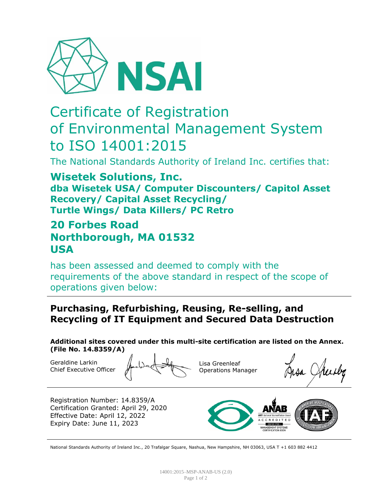

# Certificate of Registration of Environmental Management System to ISO 14001:2015

The National Standards Authority of Ireland Inc. certifies that:

**Wisetek Solutions, Inc. dba Wisetek USA/ Computer Discounters/ Capitol Asset Recovery/ Capital Asset Recycling/ Turtle Wings/ Data Killers/ PC Retro**

## **20 Forbes Road Northborough, MA 01532 USA**

has been assessed and deemed to comply with the requirements of the above standard in respect of the scope of operations given below:

#### **Purchasing, Refurbishing, Reusing, Re-selling, and Recycling of IT Equipment and Secured Data Destruction**

**Additional sites covered under this multi-site certification are listed on the Annex. (File No. 14.8359/A)**

Geraldine Larkin Chief Executive Officer

Lisa Greenleaf Operations Manager

Registration Number: 14.8359/A Certification Granted: April 29, 2020 Effective Date: April 12, 2022 Expiry Date: June 11, 2023



National Standards Authority of Ireland Inc., 20 Trafalgar Square, Nashua, New Hampshire, NH 03063, USA T +1 603 882 4412